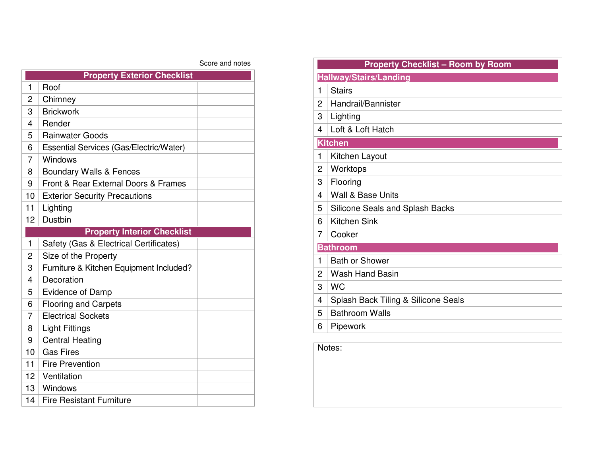## Score and notes

| <b>Property Exterior Checklist</b> |                                         |  |
|------------------------------------|-----------------------------------------|--|
| 1                                  | Roof                                    |  |
| 2                                  | Chimney                                 |  |
| 3                                  | <b>Brickwork</b>                        |  |
| 4                                  | Render                                  |  |
| 5                                  | <b>Rainwater Goods</b>                  |  |
| 6                                  | Essential Services (Gas/Electric/Water) |  |
| 7                                  | Windows                                 |  |
| 8                                  | <b>Boundary Walls &amp; Fences</b>      |  |
| 9                                  | Front & Rear External Doors & Frames    |  |
| 10                                 | <b>Exterior Security Precautions</b>    |  |
| 11                                 | Lighting                                |  |
| 12                                 | <b>Dustbin</b>                          |  |
| <b>Property Interior Checklist</b> |                                         |  |
| $\mathbf{1}$                       | Safety (Gas & Electrical Certificates)  |  |
| $\overline{2}$                     | Size of the Property                    |  |
| 3                                  | Furniture & Kitchen Equipment Included? |  |
| 4                                  | Decoration                              |  |
| 5                                  | Evidence of Damp                        |  |
| 6                                  | <b>Flooring and Carpets</b>             |  |
| 7                                  | <b>Electrical Sockets</b>               |  |
| 8                                  | <b>Light Fittings</b>                   |  |
| 9                                  | <b>Central Heating</b>                  |  |
| 10                                 | <b>Gas Fires</b>                        |  |
| 11                                 | <b>Fire Prevention</b>                  |  |
| 12                                 | Ventilation                             |  |
| 13                                 | Windows                                 |  |
| 14                                 | <b>Fire Resistant Furniture</b>         |  |

|                 | <b>Property Checklist - Room by Room</b> |  |  |  |
|-----------------|------------------------------------------|--|--|--|
|                 | <b>Hallway/Stairs/Landing</b>            |  |  |  |
| 1               | <b>Stairs</b>                            |  |  |  |
| $\overline{2}$  | Handrail/Bannister                       |  |  |  |
| 3               | Lighting                                 |  |  |  |
| 4               | Loft & Loft Hatch                        |  |  |  |
| <b>Kitchen</b>  |                                          |  |  |  |
| 1               | Kitchen Layout                           |  |  |  |
| 2               | Worktops                                 |  |  |  |
| 3               | Flooring                                 |  |  |  |
| 4               | Wall & Base Units                        |  |  |  |
| 5               | Silicone Seals and Splash Backs          |  |  |  |
| 6               | <b>Kitchen Sink</b>                      |  |  |  |
| 7               | Cooker                                   |  |  |  |
| <b>Bathroom</b> |                                          |  |  |  |
| 1               | <b>Bath or Shower</b>                    |  |  |  |
| 2               | <b>Wash Hand Basin</b>                   |  |  |  |
| 3               | <b>WC</b>                                |  |  |  |
| 4               | Splash Back Tiling & Silicone Seals      |  |  |  |
| 5               | <b>Bathroom Walls</b>                    |  |  |  |
| 6               | Pipework                                 |  |  |  |
|                 |                                          |  |  |  |

Notes: